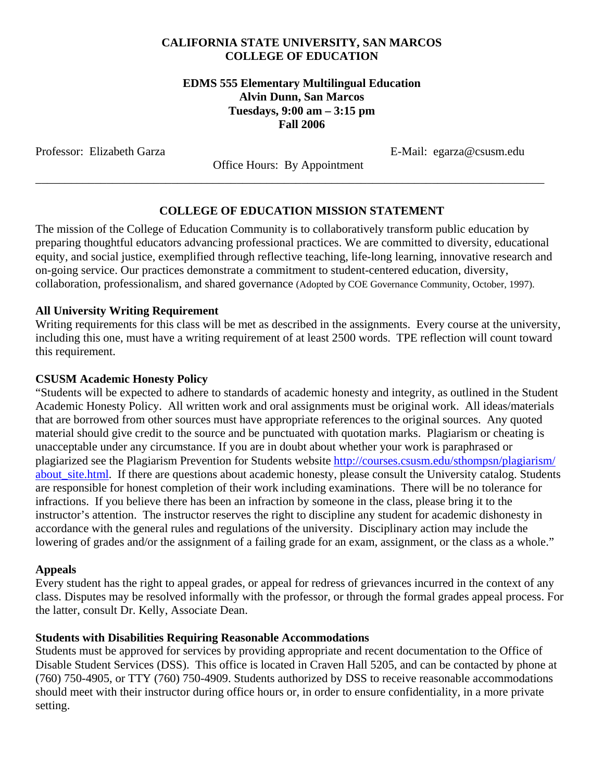### **CALIFORNIA STATE UNIVERSITY, SAN MARCOS COLLEGE OF EDUCATION**

### **EDMS 555 Elementary Multilingual Education Alvin Dunn, San Marcos Tuesdays, 9:00 am – 3:15 pm Fall 2006**

Professor: Elizabeth Garza <br>
E-Mail: egarza@csusm.edu

 Office Hours: By Appointment \_\_\_\_\_\_\_\_\_\_\_\_\_\_\_\_\_\_\_\_\_\_\_\_\_\_\_\_\_\_\_\_\_\_\_\_\_\_\_\_\_\_\_\_\_\_\_\_\_\_\_\_\_\_\_\_\_\_\_\_\_\_\_\_\_\_\_\_\_\_\_\_\_\_\_\_\_\_\_\_\_\_\_\_\_\_

### **COLLEGE OF EDUCATION MISSION STATEMENT**

The mission of the College of Education Community is to collaboratively transform public education by preparing thoughtful educators advancing professional practices. We are committed to diversity, educational equity, and social justice, exemplified through reflective teaching, life-long learning, innovative research and on-going service. Our practices demonstrate a commitment to student-centered education, diversity, collaboration, professionalism, and shared governance (Adopted by COE Governance Community, October, 1997).

### **All University Writing Requirement**

Writing requirements for this class will be met as described in the assignments. Every course at the university, including this one, must have a writing requirement of at least 2500 words. TPE reflection will count toward this requirement.

### **CSUSM Academic Honesty Policy**

"Students will be expected to adhere to standards of academic honesty and integrity, as outlined in the Student Academic Honesty Policy. All written work and oral assignments must be original work. All ideas/materials that are borrowed from other sources must have appropriate references to the original sources. Any quoted material should give credit to the source and be punctuated with quotation marks. Plagiarism or cheating is unacceptable under any circumstance. If you are in doubt about whether your work is paraphrased or plagiarized see the Plagiarism Prevention for Students website http://courses.csusm.edu/sthompsn/plagiarism/ about\_site.html. If there are questions about academic honesty, please consult the University catalog. Students are responsible for honest completion of their work including examinations. There will be no tolerance for infractions. If you believe there has been an infraction by someone in the class, please bring it to the instructor's attention. The instructor reserves the right to discipline any student for academic dishonesty in accordance with the general rules and regulations of the university. Disciplinary action may include the lowering of grades and/or the assignment of a failing grade for an exam, assignment, or the class as a whole."

### **Appeals**

Every student has the right to appeal grades, or appeal for redress of grievances incurred in the context of any class. Disputes may be resolved informally with the professor, or through the formal grades appeal process. For the latter, consult Dr. Kelly, Associate Dean.

### **Students with Disabilities Requiring Reasonable Accommodations**

Students must be approved for services by providing appropriate and recent documentation to the Office of Disable Student Services (DSS). This office is located in Craven Hall 5205, and can be contacted by phone at (760) 750-4905, or TTY (760) 750-4909. Students authorized by DSS to receive reasonable accommodations should meet with their instructor during office hours or, in order to ensure confidentiality, in a more private setting.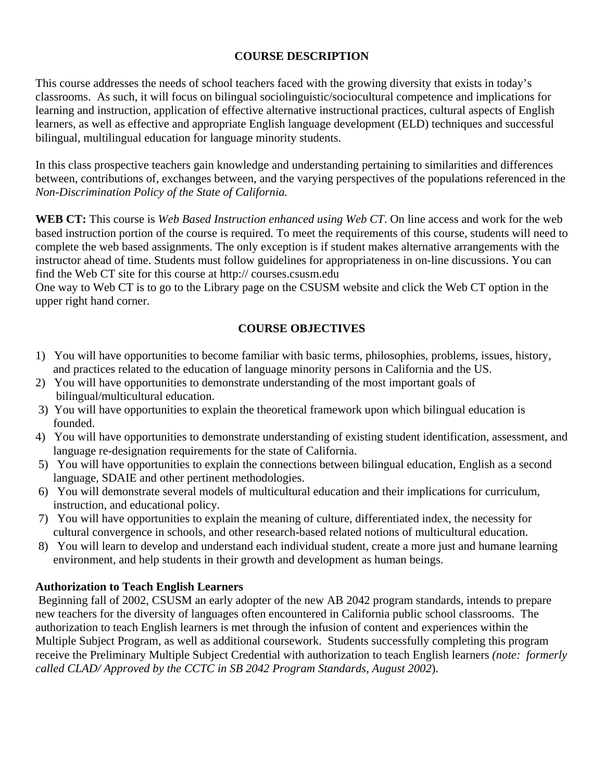### **COURSE DESCRIPTION**

This course addresses the needs of school teachers faced with the growing diversity that exists in today's classrooms. As such, it will focus on bilingual sociolinguistic/sociocultural competence and implications for learning and instruction, application of effective alternative instructional practices, cultural aspects of English learners, as well as effective and appropriate English language development (ELD) techniques and successful bilingual, multilingual education for language minority students.

In this class prospective teachers gain knowledge and understanding pertaining to similarities and differences between, contributions of, exchanges between, and the varying perspectives of the populations referenced in the *Non-Discrimination Policy of the State of California.*

**WEB CT:** This course is *Web Based Instruction enhanced using Web CT*. On line access and work for the web based instruction portion of the course is required. To meet the requirements of this course, students will need to complete the web based assignments. The only exception is if student makes alternative arrangements with the instructor ahead of time. Students must follow guidelines for appropriateness in on-line discussions. You can find the Web CT site for this course at http:// courses.csusm.edu

One way to Web CT is to go to the Library page on the CSUSM website and click the Web CT option in the upper right hand corner.

### **COURSE OBJECTIVES**

- 1) You will have opportunities to become familiar with basic terms, philosophies, problems, issues, history, and practices related to the education of language minority persons in California and the US.
- 2) You will have opportunities to demonstrate understanding of the most important goals of bilingual/multicultural education.
- 3) You will have opportunities to explain the theoretical framework upon which bilingual education is founded.
- 4) You will have opportunities to demonstrate understanding of existing student identification, assessment, and language re-designation requirements for the state of California.
- 5) You will have opportunities to explain the connections between bilingual education, English as a second language, SDAIE and other pertinent methodologies.
- 6) You will demonstrate several models of multicultural education and their implications for curriculum, instruction, and educational policy.
- 7) You will have opportunities to explain the meaning of culture, differentiated index, the necessity for cultural convergence in schools, and other research-based related notions of multicultural education.
- 8) You will learn to develop and understand each individual student, create a more just and humane learning environment, and help students in their growth and development as human beings.

### **Authorization to Teach English Learners**

 Beginning fall of 2002, CSUSM an early adopter of the new AB 2042 program standards, intends to prepare new teachers for the diversity of languages often encountered in California public school classrooms. The authorization to teach English learners is met through the infusion of content and experiences within the Multiple Subject Program, as well as additional coursework. Students successfully completing this program receive the Preliminary Multiple Subject Credential with authorization to teach English learners *(note: formerly called CLAD/ Approved by the CCTC in SB 2042 Program Standards, August 2002*).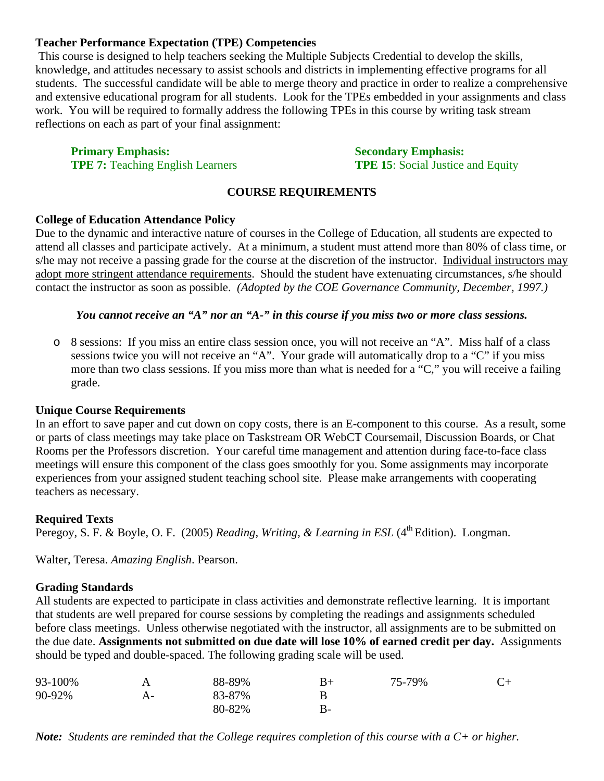### **Teacher Performance Expectation (TPE) Competencies**

 This course is designed to help teachers seeking the Multiple Subjects Credential to develop the skills, knowledge, and attitudes necessary to assist schools and districts in implementing effective programs for all students. The successful candidate will be able to merge theory and practice in order to realize a comprehensive and extensive educational program for all students. Look for the TPEs embedded in your assignments and class work. You will be required to formally address the following TPEs in this course by writing task stream reflections on each as part of your final assignment:

**Primary Emphasis:** Secondary Emphasis: Secondary Emphasis: **TPE 7:** Teaching English Learners **TPE 15**: Social Justice and Equity

### **COURSE REQUIREMENTS**

### **College of Education Attendance Policy**

Due to the dynamic and interactive nature of courses in the College of Education, all students are expected to attend all classes and participate actively. At a minimum, a student must attend more than 80% of class time, or s/he may not receive a passing grade for the course at the discretion of the instructor. Individual instructors may adopt more stringent attendance requirements. Should the student have extenuating circumstances, s/he should contact the instructor as soon as possible. *(Adopted by the COE Governance Community, December, 1997.)* 

### *You cannot receive an "A" nor an "A-" in this course if you miss two or more class sessions.*

o 8 sessions: If you miss an entire class session once, you will not receive an "A". Miss half of a class sessions twice you will not receive an "A". Your grade will automatically drop to a "C" if you miss more than two class sessions. If you miss more than what is needed for a "C," you will receive a failing grade.

#### **Unique Course Requirements**

In an effort to save paper and cut down on copy costs, there is an E-component to this course. As a result, some or parts of class meetings may take place on Taskstream OR WebCT Coursemail, Discussion Boards, or Chat Rooms per the Professors discretion. Your careful time management and attention during face-to-face class meetings will ensure this component of the class goes smoothly for you. Some assignments may incorporate experiences from your assigned student teaching school site. Please make arrangements with cooperating teachers as necessary.

### **Required Texts**

Peregoy, S. F. & Boyle, O. F. (2005) *Reading, Writing, & Learning in ESL* (4<sup>th</sup> Edition). Longman.

Walter, Teresa. *Amazing English*. Pearson.

### **Grading Standards**

All students are expected to participate in class activities and demonstrate reflective learning. It is important that students are well prepared for course sessions by completing the readings and assignments scheduled before class meetings. Unless otherwise negotiated with the instructor, all assignments are to be submitted on the due date. **Assignments not submitted on due date will lose 10% of earned credit per day.** Assignments should be typed and double-spaced. The following grading scale will be used.

| 93-100% |    | 88-89% | $B+$ | 75-79% | $C_{\pm}$ |
|---------|----|--------|------|--------|-----------|
| 90-92%  | A- | 83-87% |      |        |           |
|         |    | 80-82% | B-   |        |           |

*Note: Students are reminded that the College requires completion of this course with a C+ or higher.*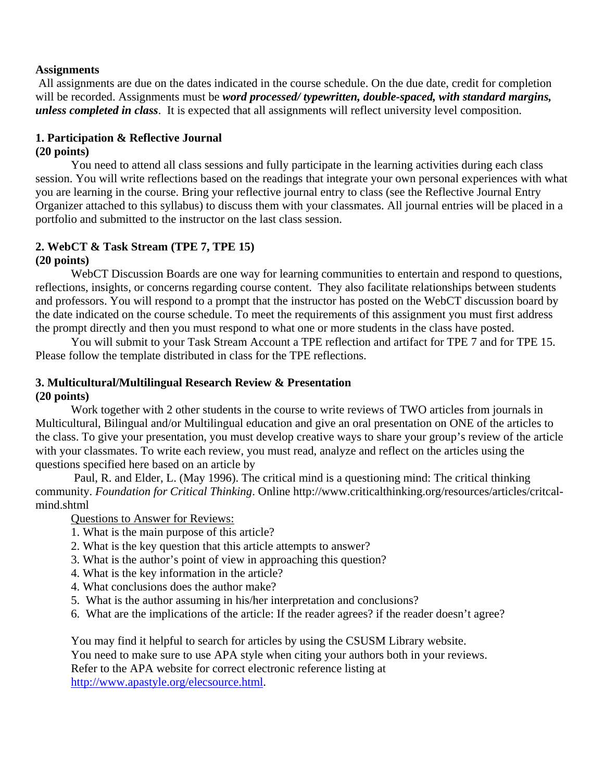### **Assignments**

 All assignments are due on the dates indicated in the course schedule. On the due date, credit for completion will be recorded. Assignments must be *word processed/ typewritten, double-spaced, with standard margins, unless completed in class*. It is expected that all assignments will reflect university level composition.

### **1. Participation & Reflective Journal (20 points)**

You need to attend all class sessions and fully participate in the learning activities during each class session. You will write reflections based on the readings that integrate your own personal experiences with what you are learning in the course. Bring your reflective journal entry to class (see the Reflective Journal Entry Organizer attached to this syllabus) to discuss them with your classmates. All journal entries will be placed in a portfolio and submitted to the instructor on the last class session.

# **2. WebCT & Task Stream (TPE 7, TPE 15)**

### **(20 points)**

WebCT Discussion Boards are one way for learning communities to entertain and respond to questions, reflections, insights, or concerns regarding course content. They also facilitate relationships between students and professors. You will respond to a prompt that the instructor has posted on the WebCT discussion board by the date indicated on the course schedule. To meet the requirements of this assignment you must first address the prompt directly and then you must respond to what one or more students in the class have posted.

 You will submit to your Task Stream Account a TPE reflection and artifact for TPE 7 and for TPE 15. Please follow the template distributed in class for the TPE reflections.

### **3. Multicultural/Multilingual Research Review & Presentation (20 points)**

Work together with 2 other students in the course to write reviews of TWO articles from journals in Multicultural, Bilingual and/or Multilingual education and give an oral presentation on ONE of the articles to the class. To give your presentation, you must develop creative ways to share your group's review of the article with your classmates. To write each review, you must read, analyze and reflect on the articles using the questions specified here based on an article by

 Paul, R. and Elder, L. (May 1996). The critical mind is a questioning mind: The critical thinking community. *Foundation for Critical Thinking*. Online http://www.criticalthinking.org/resources/articles/critcalmind.shtml

### Questions to Answer for Reviews:

- 1. What is the main purpose of this article?
- 2. What is the key question that this article attempts to answer?
- 3. What is the author's point of view in approaching this question?
- 4. What is the key information in the article?
- 4. What conclusions does the author make?
- 5. What is the author assuming in his/her interpretation and conclusions?
- 6. What are the implications of the article: If the reader agrees? if the reader doesn't agree?

You may find it helpful to search for articles by using the CSUSM Library website. You need to make sure to use APA style when citing your authors both in your reviews. Refer to the APA website for correct electronic reference listing at http://www.apastyle.org/elecsource.html.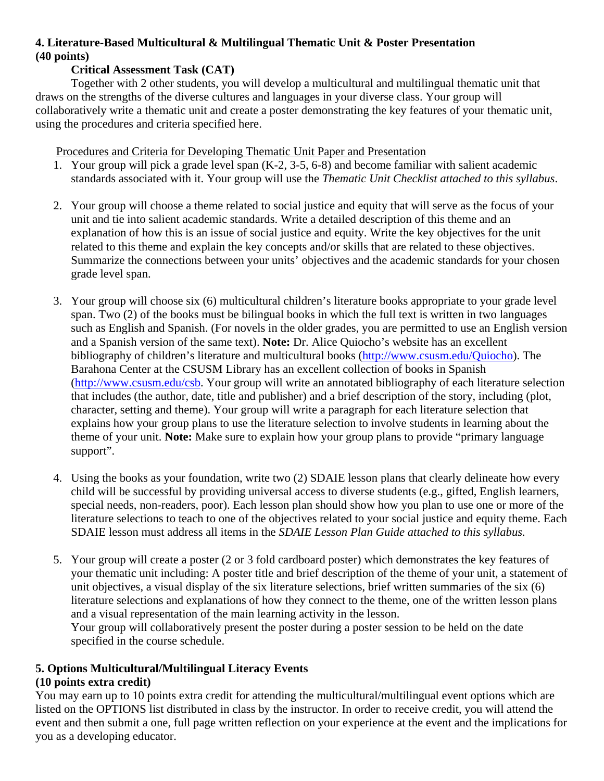### **4. Literature-Based Multicultural & Multilingual Thematic Unit & Poster Presentation (40 points)**

### **Critical Assessment Task (CAT)**

 Together with 2 other students, you will develop a multicultural and multilingual thematic unit that draws on the strengths of the diverse cultures and languages in your diverse class. Your group will collaboratively write a thematic unit and create a poster demonstrating the key features of your thematic unit, using the procedures and criteria specified here.

Procedures and Criteria for Developing Thematic Unit Paper and Presentation

- 1. Your group will pick a grade level span (K-2, 3-5, 6-8) and become familiar with salient academic standards associated with it. Your group will use the *Thematic Unit Checklist attached to this syllabus*.
- 2. Your group will choose a theme related to social justice and equity that will serve as the focus of your unit and tie into salient academic standards. Write a detailed description of this theme and an explanation of how this is an issue of social justice and equity. Write the key objectives for the unit related to this theme and explain the key concepts and/or skills that are related to these objectives. Summarize the connections between your units' objectives and the academic standards for your chosen grade level span.
- 3. Your group will choose six (6) multicultural children's literature books appropriate to your grade level span. Two (2) of the books must be bilingual books in which the full text is written in two languages such as English and Spanish. (For novels in the older grades, you are permitted to use an English version and a Spanish version of the same text). **Note:** Dr. Alice Quiocho's website has an excellent bibliography of children's literature and multicultural books (http://www.csusm.edu/Quiocho). The Barahona Center at the CSUSM Library has an excellent collection of books in Spanish (http://www.csusm.edu/csb. Your group will write an annotated bibliography of each literature selection that includes (the author, date, title and publisher) and a brief description of the story, including (plot, character, setting and theme). Your group will write a paragraph for each literature selection that explains how your group plans to use the literature selection to involve students in learning about the theme of your unit. **Note:** Make sure to explain how your group plans to provide "primary language support".
- 4. Using the books as your foundation, write two (2) SDAIE lesson plans that clearly delineate how every child will be successful by providing universal access to diverse students (e.g., gifted, English learners, special needs, non-readers, poor). Each lesson plan should show how you plan to use one or more of the literature selections to teach to one of the objectives related to your social justice and equity theme. Each SDAIE lesson must address all items in the *SDAIE Lesson Plan Guide attached to this syllabus.*
- 5. Your group will create a poster (2 or 3 fold cardboard poster) which demonstrates the key features of your thematic unit including: A poster title and brief description of the theme of your unit, a statement of unit objectives, a visual display of the six literature selections, brief written summaries of the six (6) literature selections and explanations of how they connect to the theme, one of the written lesson plans and a visual representation of the main learning activity in the lesson.

Your group will collaboratively present the poster during a poster session to be held on the date specified in the course schedule.

### **5. Options Multicultural/Multilingual Literacy Events**

### **(10 points extra credit)**

You may earn up to 10 points extra credit for attending the multicultural/multilingual event options which are listed on the OPTIONS list distributed in class by the instructor. In order to receive credit, you will attend the event and then submit a one, full page written reflection on your experience at the event and the implications for you as a developing educator.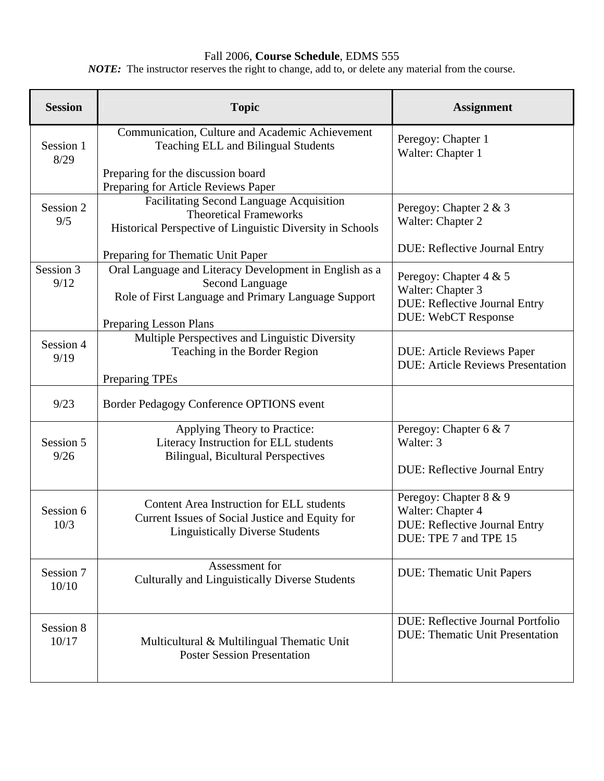### Fall 2006, **Course Schedule**, EDMS 555

**Session I** and **Topic Topic Community Assignment Assignment** Session 1 8/29 Communication, Culture and Academic Achievement Teaching ELL and Bilingual Students Preparing for the discussion board Preparing for Article Reviews Paper Peregoy: Chapter 1 Walter: Chapter 1 Session 2 9/5 Facilitating Second Language Acquisition Theoretical Frameworks Historical Perspective of Linguistic Diversity in Schools Preparing for Thematic Unit Paper Peregoy: Chapter 2 & 3 Walter: Chapter 2 DUE: Reflective Journal Entry Session 3 9/12 Oral Language and Literacy Development in English as a Second Language Role of First Language and Primary Language Support Preparing Lesson Plans Peregoy: Chapter 4 & 5 Walter: Chapter 3 DUE: Reflective Journal Entry DUE: WebCT Response Session 4 9/19 Multiple Perspectives and Linguistic Diversity Teaching in the Border Region Preparing TPEs DUE: Article Reviews Paper DUE: Article Reviews Presentation 9/23 Border Pedagogy Conference OPTIONS event Session 5 9/26 Applying Theory to Practice: Literacy Instruction for ELL students Bilingual, Bicultural Perspectives Peregoy: Chapter 6 & 7 Walter: 3 DUE: Reflective Journal Entry Session 6 10/3 Content Area Instruction for ELL students Current Issues of Social Justice and Equity for Linguistically Diverse Students Peregoy: Chapter 8 & 9 Walter: Chapter 4 DUE: Reflective Journal Entry DUE: TPE 7 and TPE 15 Session 7 10/10 Assessment for Culturally and Linguistically Diverse Students DUE: Thematic Unit Papers Session 8 10/17 Multicultural & Multilingual Thematic Unit Poster Session Presentation DUE: Reflective Journal Portfolio DUE: Thematic Unit Presentation

*NOTE:* The instructor reserves the right to change, add to, or delete any material from the course.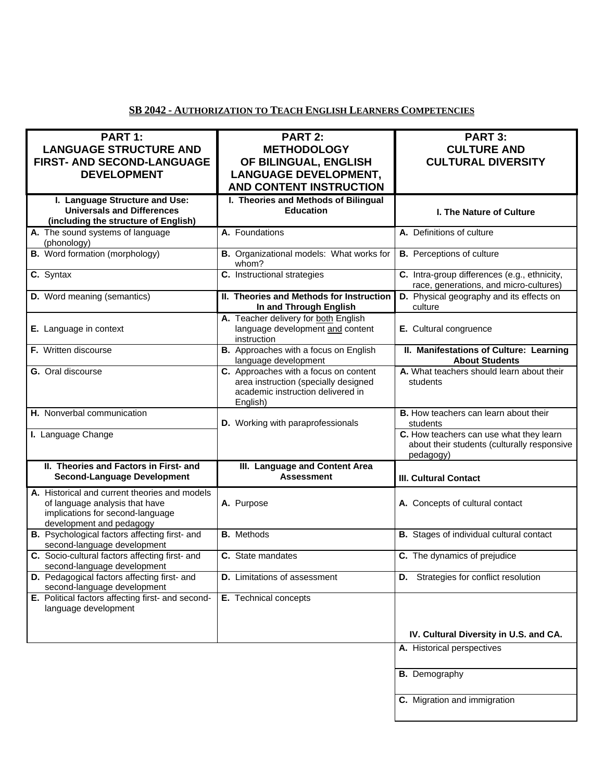### **SB 2042 - AUTHORIZATION TO TEACH ENGLISH LEARNERS COMPETENCIES**

| PART 1:<br><b>LANGUAGE STRUCTURE AND</b><br><b>FIRST- AND SECOND-LANGUAGE</b><br><b>DEVELOPMENT</b>                                             | <b>PART 2:</b><br><b>METHODOLOGY</b><br>OF BILINGUAL, ENGLISH<br><b>LANGUAGE DEVELOPMENT,</b><br><b>AND CONTENT INSTRUCTION</b> | <b>PART 3:</b><br><b>CULTURE AND</b><br><b>CULTURAL DIVERSITY</b>                                   |
|-------------------------------------------------------------------------------------------------------------------------------------------------|---------------------------------------------------------------------------------------------------------------------------------|-----------------------------------------------------------------------------------------------------|
| I. Language Structure and Use:<br><b>Universals and Differences</b><br>(including the structure of English)                                     | I. Theories and Methods of Bilingual<br><b>Education</b>                                                                        | <b>I. The Nature of Culture</b>                                                                     |
| A. The sound systems of language<br>(phonology)                                                                                                 | A. Foundations                                                                                                                  | A. Definitions of culture                                                                           |
| <b>B.</b> Word formation (morphology)                                                                                                           | B. Organizational models: What works for<br>whom?                                                                               | <b>B.</b> Perceptions of culture                                                                    |
| C. Syntax                                                                                                                                       | C. Instructional strategies                                                                                                     | C. Intra-group differences (e.g., ethnicity,<br>race, generations, and micro-cultures)              |
| <b>D.</b> Word meaning (semantics)                                                                                                              | II. Theories and Methods for Instruction<br>In and Through English                                                              | D. Physical geography and its effects on<br>culture                                                 |
| E. Language in context                                                                                                                          | A. Teacher delivery for both English<br>language development and content<br>instruction                                         | E. Cultural congruence                                                                              |
| F. Written discourse                                                                                                                            | B. Approaches with a focus on English<br>language development                                                                   | II. Manifestations of Culture: Learning<br><b>About Students</b>                                    |
| G. Oral discourse                                                                                                                               | C. Approaches with a focus on content<br>area instruction (specially designed<br>academic instruction delivered in<br>English)  | A. What teachers should learn about their<br>students                                               |
| H. Nonverbal communication                                                                                                                      | D. Working with paraprofessionals                                                                                               | <b>B.</b> How teachers can learn about their<br>students                                            |
| I. Language Change                                                                                                                              |                                                                                                                                 | C. How teachers can use what they learn<br>about their students (culturally responsive<br>pedagogy) |
| II. Theories and Factors in First- and<br><b>Second-Language Development</b>                                                                    | III. Language and Content Area<br><b>Assessment</b>                                                                             | <b>III. Cultural Contact</b>                                                                        |
| A. Historical and current theories and models<br>of language analysis that have<br>implications for second-language<br>development and pedagogy | A. Purpose                                                                                                                      | A. Concepts of cultural contact                                                                     |
| B. Psychological factors affecting first- and<br>second-language development                                                                    | <b>B.</b> Methods                                                                                                               | <b>B.</b> Stages of individual cultural contact                                                     |
| C. Socio-cultural factors affecting first- and<br>second-language development                                                                   | C. State mandates                                                                                                               | C. The dynamics of prejudice                                                                        |
| D. Pedagogical factors affecting first- and<br>second-language development                                                                      | <b>D.</b> Limitations of assessment                                                                                             | D. Strategies for conflict resolution                                                               |
| E. Political factors affecting first- and second-<br>language development                                                                       | E. Technical concepts                                                                                                           |                                                                                                     |
|                                                                                                                                                 |                                                                                                                                 | IV. Cultural Diversity in U.S. and CA.                                                              |
|                                                                                                                                                 |                                                                                                                                 | A. Historical perspectives                                                                          |
|                                                                                                                                                 |                                                                                                                                 | <b>B.</b> Demography                                                                                |
|                                                                                                                                                 |                                                                                                                                 | C. Migration and immigration                                                                        |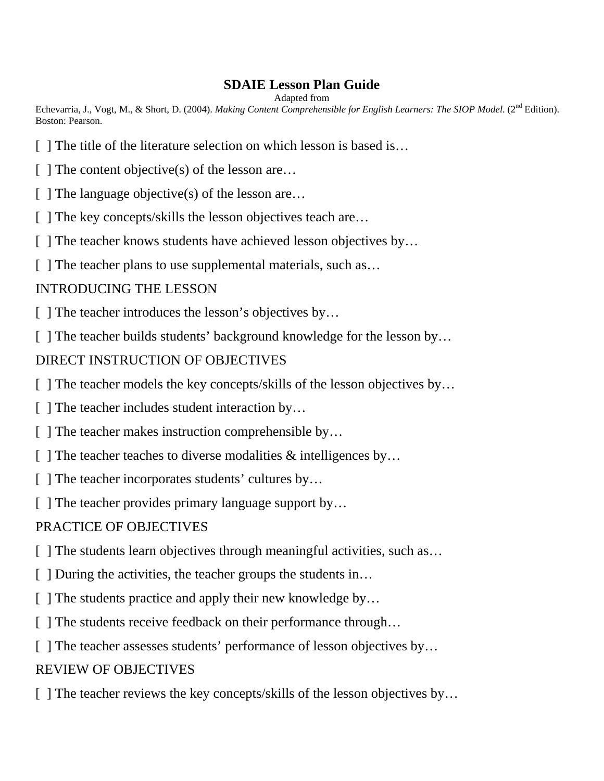# **SDAIE Lesson Plan Guide**

Adapted from

Echevarria, J., Vogt, M., & Short, D. (2004). *Making Content Comprehensible for English Learners: The SIOP Model.* (2<sup>nd</sup> Edition). Boston: Pearson.

- [ ] The title of the literature selection on which lesson is based is...
- $\lceil \ \rceil$  The content objective(s) of the lesson are...
- [ ] The language objective(s) of the lesson are...
- [ ] The key concepts/skills the lesson objectives teach are...
- [ ] The teacher knows students have achieved lesson objectives by...
- [ ] The teacher plans to use supplemental materials, such as...

# INTRODUCING THE LESSON

[ ] The teacher introduces the lesson's objectives by...

[ ] The teacher builds students' background knowledge for the lesson by...

# DIRECT INSTRUCTION OF OBJECTIVES

- [ ] The teacher models the key concepts/skills of the lesson objectives by...
- [ ] The teacher includes student interaction by...
- [ ] The teacher makes instruction comprehensible by...
- [ ] The teacher teaches to diverse modalities  $\&$  intelligences by...
- [ ] The teacher incorporates students' cultures by...
- [ ] The teacher provides primary language support by...

# PRACTICE OF OBJECTIVES

- [ ] The students learn objectives through meaningful activities, such as...
- [ ] During the activities, the teacher groups the students in...
- [ ] The students practice and apply their new knowledge by...
- [ ] The students receive feedback on their performance through...
- [ ] The teacher assesses students' performance of lesson objectives by...

# REVIEW OF OBJECTIVES

[ ] The teacher reviews the key concepts/skills of the lesson objectives by...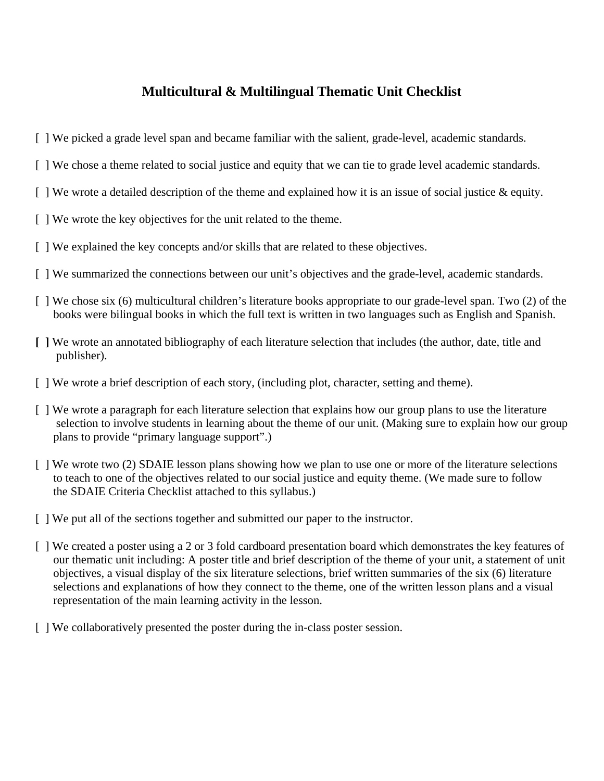# **Multicultural & Multilingual Thematic Unit Checklist**

- [ ] We picked a grade level span and became familiar with the salient, grade-level, academic standards.
- [ ] We chose a theme related to social justice and equity that we can tie to grade level academic standards.
- $\lceil \cdot \rceil$  We wrote a detailed description of the theme and explained how it is an issue of social justice & equity.
- [ ] We wrote the key objectives for the unit related to the theme.
- [ ] We explained the key concepts and/or skills that are related to these objectives.
- [ ] We summarized the connections between our unit's objectives and the grade-level, academic standards.
- [ ] We chose six (6) multicultural children's literature books appropriate to our grade-level span. Two (2) of the books were bilingual books in which the full text is written in two languages such as English and Spanish.
- **[ ]** We wrote an annotated bibliography of each literature selection that includes (the author, date, title and publisher).
- [ ] We wrote a brief description of each story, (including plot, character, setting and theme).
- [ ] We wrote a paragraph for each literature selection that explains how our group plans to use the literature selection to involve students in learning about the theme of our unit. (Making sure to explain how our group plans to provide "primary language support".)
- [ ] We wrote two (2) SDAIE lesson plans showing how we plan to use one or more of the literature selections to teach to one of the objectives related to our social justice and equity theme. (We made sure to follow the SDAIE Criteria Checklist attached to this syllabus.)
- [ ] We put all of the sections together and submitted our paper to the instructor.
- [ ] We created a poster using a 2 or 3 fold cardboard presentation board which demonstrates the key features of our thematic unit including: A poster title and brief description of the theme of your unit, a statement of unit objectives, a visual display of the six literature selections, brief written summaries of the six (6) literature selections and explanations of how they connect to the theme, one of the written lesson plans and a visual representation of the main learning activity in the lesson.
- [ ] We collaboratively presented the poster during the in-class poster session.